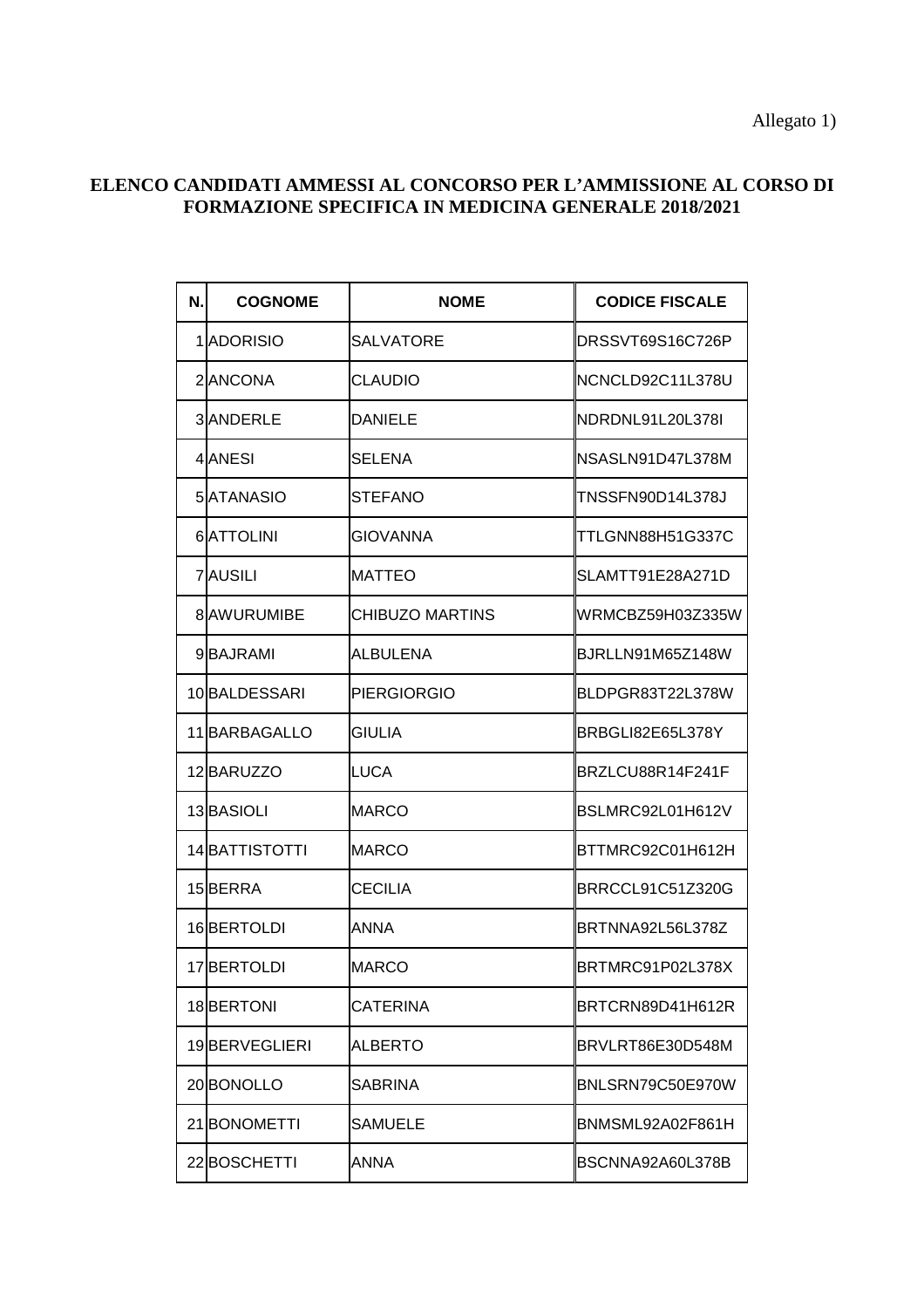Allegato 1)

## **ELENCO CANDIDATI AMMESSI AL CONCORSO PER L'AMMISSIONE AL CORSO DI FORMAZIONE SPECIFICA IN MEDICINA GENERALE 2018/2021**

| Ν. | <b>COGNOME</b>    | <b>NOME</b>        | <b>CODICE FISCALE</b>   |
|----|-------------------|--------------------|-------------------------|
|    | 1 <b>ADORISIO</b> | SALVATORE          | DRSSVT69S16C726P        |
|    | 2 ANCONA          | <b>CLAUDIO</b>     | NCNCLD92C11L378U        |
|    | <b>3</b> ANDERLE  | DANIELE            | NDRDNL91L20L378I        |
|    | 4 ANESI           | SELENA             | NSASLN91D47L378M        |
|    | 5 ATANASIO        | STEFANO            | TNSSFN90D14L378J        |
|    | <b>6</b> ATTOLINI | GIOVANNA           | TTLGNN88H51G337C        |
|    | <b>7</b> AUSILI   | <b>MATTEO</b>      | SLAMTT91E28A271D        |
|    | 8 AWURUMIBE       | CHIBUZO MARTINS    | WRMCBZ59H03Z335W        |
|    | 9BAJRAMI          | ALBULENA           | BJRLLN91M65Z148W        |
|    | 10BALDESSARI      | <b>PIERGIORGIO</b> | BLDPGR83T22L378W        |
|    | 11 BARBAGALLO     | <b>GIULIA</b>      | BRBGLI82E65L378Y        |
|    | 12BARUZZO         | LUCA               | BRZLCU88R14F241F        |
|    | 13 BASIOLI        | <b>MARCO</b>       | BSLMRC92L01H612V        |
|    | 14BATTISTOTTI     | <b>MARCO</b>       | BTTMRC92C01H612H        |
|    | 15BERRA           | <b>CECILIA</b>     | <b>BRRCCL91C51Z320G</b> |
|    | 16BERTOLDI        | ANNA               | BRTNNA92L56L378Z        |
|    | 17BERTOLDI        | <b>MARCO</b>       | BRTMRC91P02L378X        |
|    | 18BERTONI         | CATERINA           | BRTCRN89D41H612R        |
|    | 19BERVEGLIERI     | <b>ALBERTO</b>     | BRVLRT86E30D548M        |
|    | 20BONOLLO         | SABRINA            | BNLSRN79C50E970W        |
|    | 21BONOMETTI       | SAMUELE            | BNMSML92A02F861H        |
|    | 22BOSCHETTI       | ANNA               | BSCNNA92A60L378B        |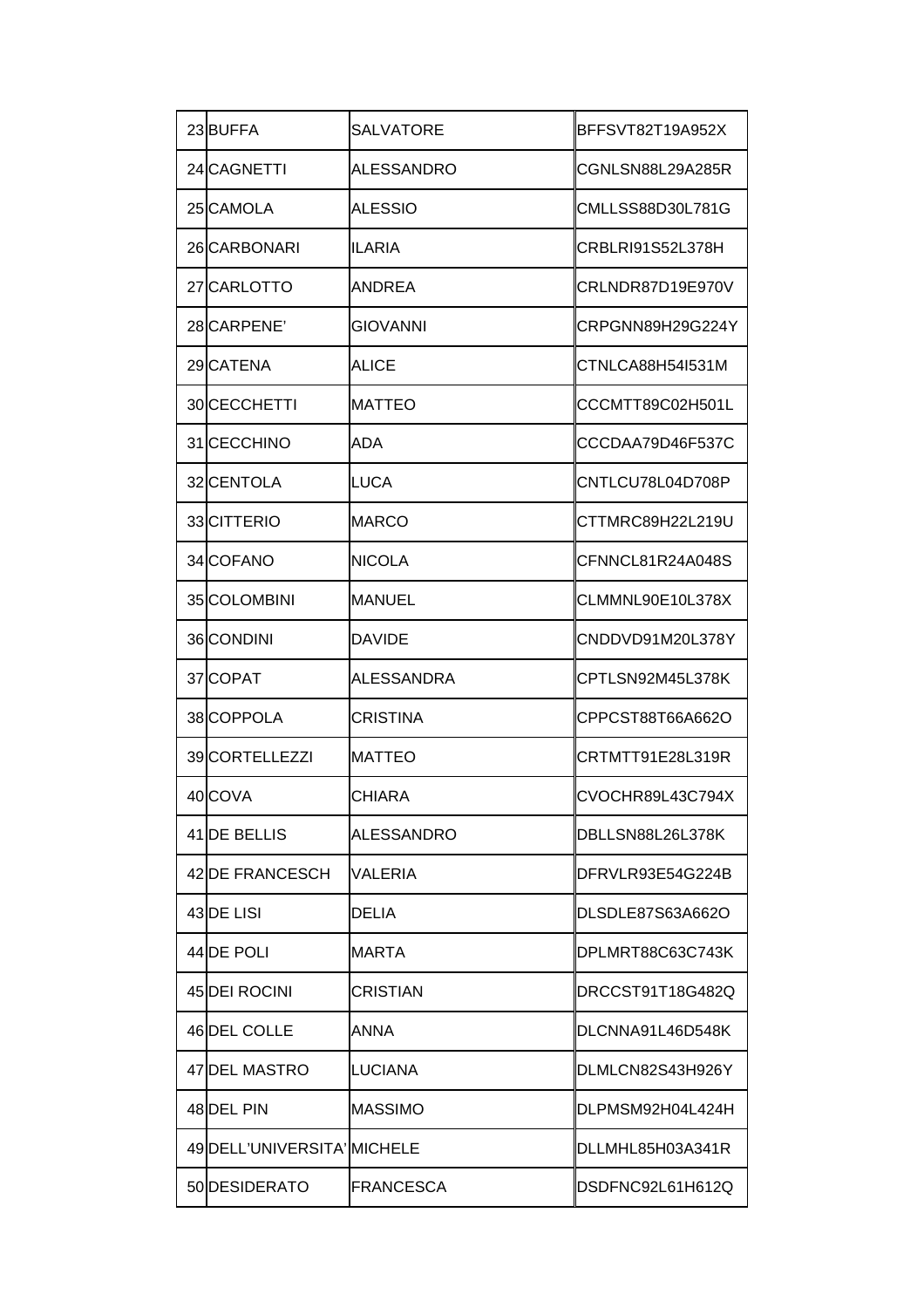| 23BUFFA                     | <b>SALVATORE</b>  | BFFSVT82T19A952X |
|-----------------------------|-------------------|------------------|
| 24 CAGNETTI                 | <b>ALESSANDRO</b> | CGNLSN88L29A285R |
| 25 CAMOLA                   | ALESSIO           | CMLLSS88D30L781G |
| 26 CARBONARI                | <b>ILARIA</b>     | CRBLRI91S52L378H |
| 27 CARLOTTO                 | ANDREA            | CRLNDR87D19E970V |
| 28 CARPENE                  | GIOVANNI          | CRPGNN89H29G224Y |
| 29 CATENA                   | ALICE             | CTNLCA88H54I531M |
| 30 CECCHETTI                | <b>MATTEO</b>     | CCCMTT89C02H501L |
| 31 CECCHINO                 | ADA               | CCCDAA79D46F537C |
| 32 CENTOLA                  | <b>LUCA</b>       | CNTLCU78L04D708P |
| 33 CITTERIO                 | <b>MARCO</b>      | CTTMRC89H22L219U |
| 34 COFANO                   | <b>NICOLA</b>     | CFNNCL81R24A048S |
| 35COLOMBINI                 | <b>MANUEL</b>     | CLMMNL90E10L378X |
| 36 CONDINI                  | <b>DAVIDE</b>     | CNDDVD91M20L378Y |
| 37 COPAT                    | ALESSANDRA        | CPTLSN92M45L378K |
| 38COPPOLA                   | CRISTINA          | CPPCST88T66A662O |
| 39CORTELLEZZI               | <b>MATTEO</b>     | CRTMTT91E28L319R |
| 40COVA                      | <b>CHIARA</b>     | CVOCHR89L43C794X |
| 41 <b>IDE BELLIS</b>        | ALESSANDRO        | DBLLSN88L26L378K |
| 42 DE FRANCESCH             | VALERIA           | DFRVLR93E54G224B |
| 43 <b>I</b> DE LISI         | DELIA             | DLSDLE87S63A662O |
| 44 <b>IDE POLI</b>          | MARTA             | DPLMRT88C63C743K |
| 45 DEI ROCINI               | CRISTIAN          | DRCCST91T18G482Q |
| 46 DEL COLLE                | ANNA              | DLCNNA91L46D548K |
| 47 DEL MASTRO               | LUCIANA           | DLMLCN82S43H926Y |
| 48 DEL PIN                  | <b>MASSIMO</b>    | DLPMSM92H04L424H |
| 49 DELL'UNIVERSITA' MICHELE |                   | DLLMHL85H03A341R |
| 50 DESIDERATO               | <b>FRANCESCA</b>  | DSDFNC92L61H612Q |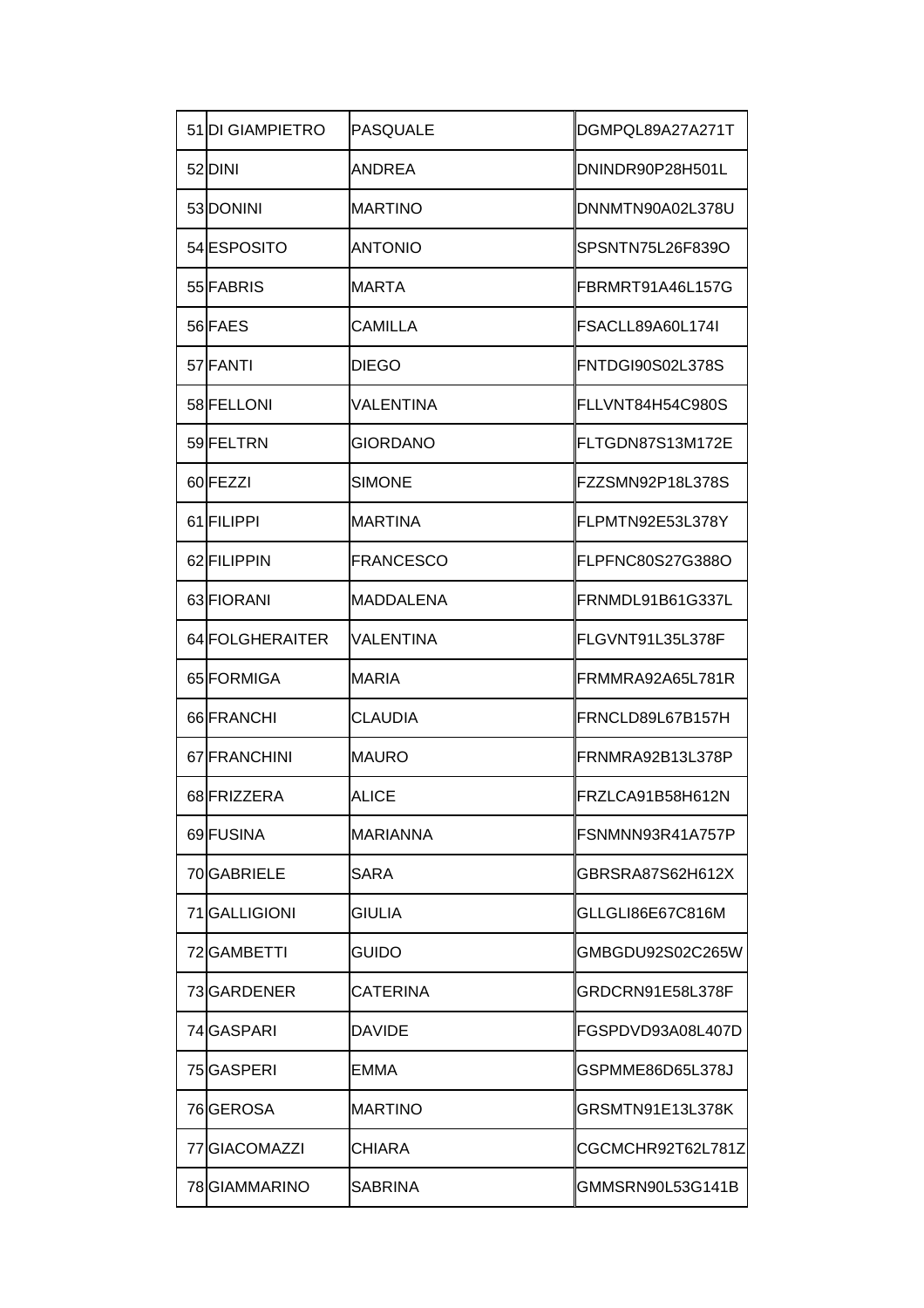| <b>51DI GIAMPIETRO</b> | <b>PASQUALE</b>  | DGMPQL89A27A271T   |
|------------------------|------------------|--------------------|
| 52DINI                 | <b>ANDREA</b>    | DNINDR90P28H501L   |
| 53 DONINI              | <b>MARTINO</b>   | DNNMTN90A02L378U   |
| 54ESPOSITO             | <b>ANTONIO</b>   | SPSNTN75L26F839O   |
| 55 FABRIS              | <b>MARTA</b>     | FBRMRT91A46L157G   |
| 56 FAES                | CAMILLA          | FSACLL89A60L174I   |
| 57 FANTI               | <b>DIEGO</b>     | FNTDGI90S02L378S   |
| 58 FELLONI             | VALENTINA        | FLLVNT84H54C980S   |
| 59 FELTRN              | GIORDANO         | FLTGDN87S13M172E   |
| 60 FEZZI               | <b>SIMONE</b>    | FZZSMN92P18L378S   |
| 61 FILIPPI             | <b>MARTINA</b>   | FLPMTN92E53L378Y   |
| 62 FILIPPIN            | <b>FRANCESCO</b> | FLPFNC80S27G388O   |
| 63 FIORANI             | MADDALENA        | FRNMDL91B61G337L   |
| 64 FOLGHERAITER        | VALENTINA        | FLGVNT91L35L378F   |
| 65 FORMIGA             | <b>MARIA</b>     | FRMMRA92A65L781R   |
| 66 FRANCHI             | CLAUDIA          | FRNCLD89L67B157H   |
| 67 FRANCHINI           | MAURO            | FRNMRA92B13L378P   |
| 68 FRIZZERA            | ALICE            | FRZLCA91B58H612N   |
| 69 FUSINA              | <b>MARIANNA</b>  | FSNMNN93R41A757P   |
| 70 GABRIELE            | SARA             | GBRSRA87S62H612X   |
| 71GALLIGIONI           | GIULIA           | GLLGLI86E67C816M   |
| 72 GAMBETTI            | guido            | GMBGDU92S02C265W   |
| 73 GARDENER            | CATERINA         | GRDCRN91E58L378F   |
| 74 GASPARI             | DAVIDE           | IFGSPDVD93A08L407D |
| 75 GASPERI             | EMMA             | GSPMME86D65L378J   |
| 76 GEROSA              | <b>MARTINO</b>   | GRSMTN91E13L378K   |
| 77 GIACOMAZZI          | CHIARA           | CGCMCHR92T62L781Z  |
| 78 GIAMMARINO          | SABRINA          | GMMSRN90L53G141B   |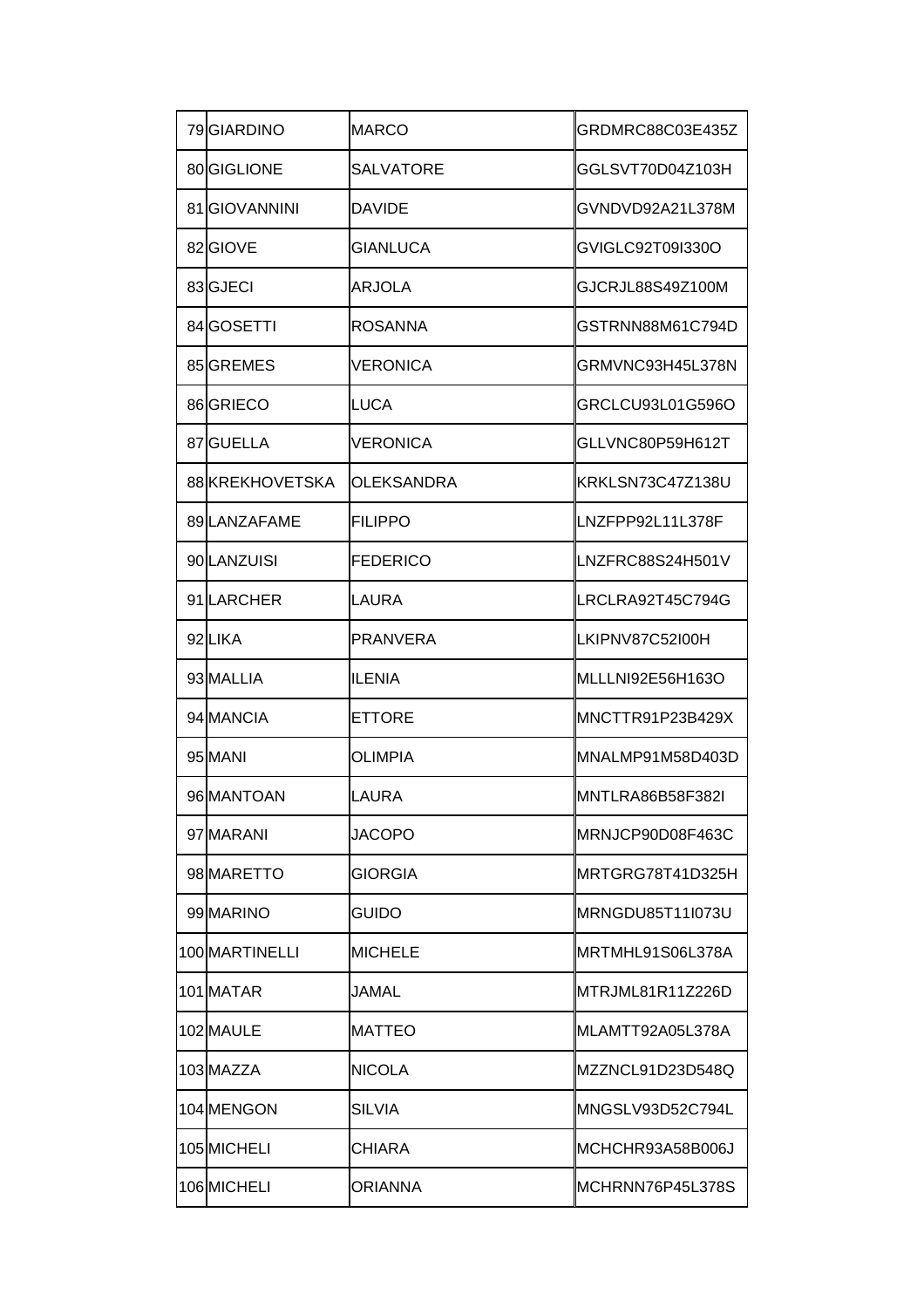| 79 GIARDINO         | MARCO            | GRDMRC88C03E435Z  |
|---------------------|------------------|-------------------|
| 80 GIGLIONE         | <b>SALVATORE</b> | GGLSVT70D04Z103H  |
| 81GIOVANNINI        | <b>DAVIDE</b>    | GVNDVD92A21L378M  |
| 82GIOVE             | GIANLUCA         | GVIGLC92T09I330O  |
| 83GJECI             | ARJOLA           | GJCRJL88S49Z100M  |
| 84 <b>I</b> GOSETTI | ROSANNA          | GSTRNN88M61C794D  |
| 85 GREMES           | VERONICA         | GRMVNC93H45L378N  |
| 86 GRIECO           | LUCA             | GRCLCU93L01G596O  |
| 87 GUELLA           | VERONICA         | GLLVNC80P59H612T  |
| 88 KREKHOVETSKA     | OLEKSANDRA       | KRKLSN73C47Z138U  |
| 89LANZAFAME         | FILIPPO          | LNZFPP92L11L378F  |
| 90 LANZUISI         | <b>FEDERICO</b>  | LNZFRC88S24H501V  |
| 91LARCHER           | LAURA            | LRCLRA92T45C794G  |
| 92LIKA              | PRANVERA         | LKIPNV87C52I00H   |
| 93 MALLIA           | ILENIA           | MLLLNI92E56H163O  |
| 94 MANCIA           | ETTORE           | MNCTTR91P23B429X  |
| 95 MANI             | OLIMPIA          | IMNALMP91M58D403D |
| 96 MANTOAN          | LAURA            | MNTLRA86B58F382I  |
| 97 MARANI           | JACOPO           | MRNJCP90D08F463C  |
| 98 MARETTO          | GIORGIA          | MRTGRG78T41D325H  |
| 99 MARINO           | guido            | MRNGDU85T11I073U  |
| 100 MARTINELLI      | MICHELE          | MRTMHL91S06L378A  |
| 101 MATAR           | JAMAL            | IMTRJML81R11Z226D |
| 102 MAULE           | MATTEO           | IMLAMTT92A05L378A |
| 103 MAZZA           | NICOLA           | IMZZNCL91D23D548Q |
| 104 MENGON          | SILVIA           | MNGSLV93D52C794L  |
| 105 MICHELI         | CHIARA           | MCHCHR93A58B006J  |
| 106 MICHELI         | ORIANNA          | MCHRNN76P45L378S  |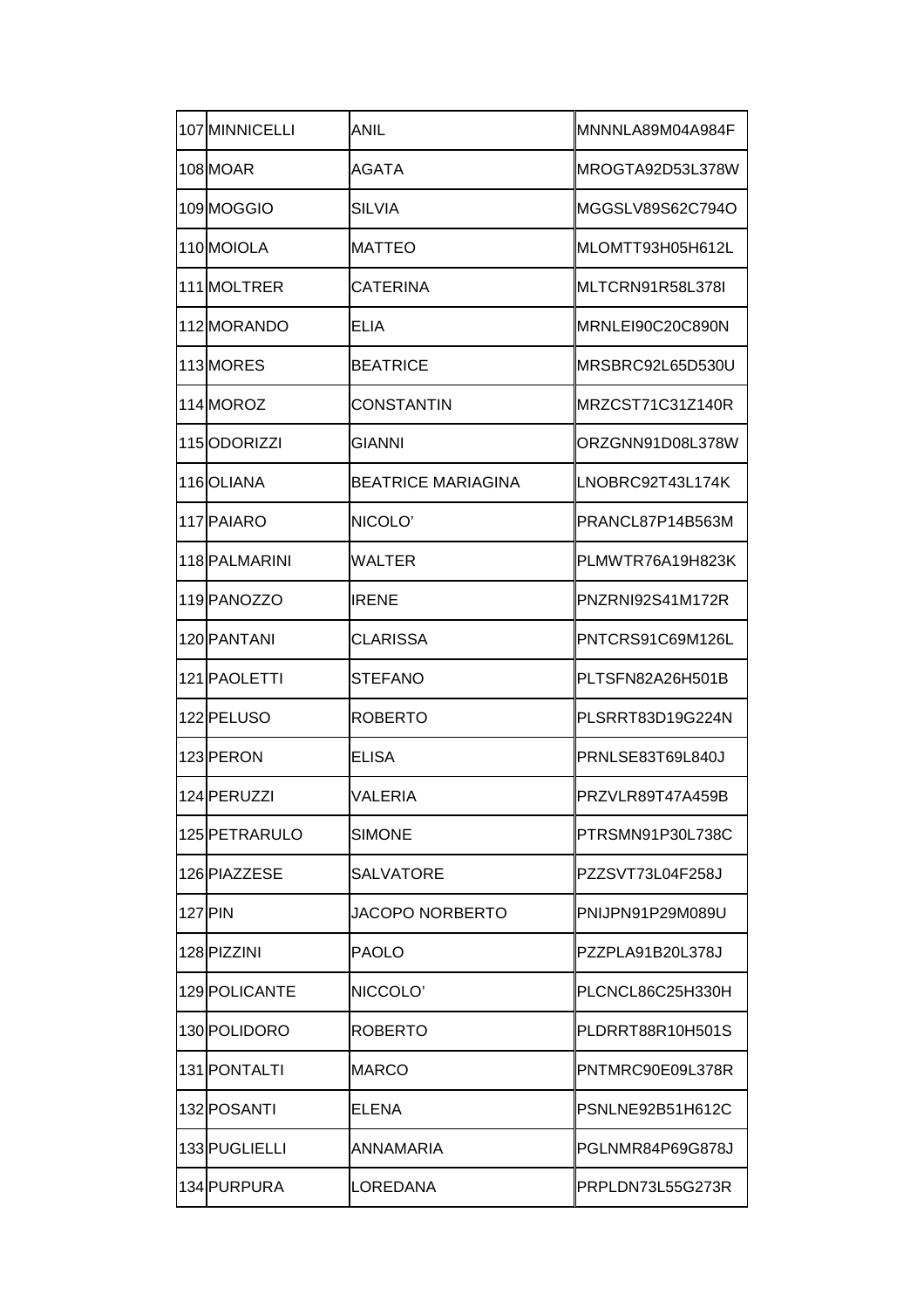| 107 MINNICELLI | ANIL                      | MNNNLA89M04A984F |
|----------------|---------------------------|------------------|
| 108 MOAR       | <b>AGATA</b>              | MROGTA92D53L378W |
| 109MOGGIO      | <b>SILVIA</b>             | MGGSLV89S62C794O |
| 110 MOIOLA     | <b>MATTEO</b>             | MLOMTT93H05H612L |
| 111 MOLTRER    | CATERINA                  | MLTCRN91R58L378I |
| 112 MORANDO    | ELIA                      | MRNLEI90C20C890N |
| 113 MORES      | <b>BEATRICE</b>           | MRSBRC92L65D530U |
| 114 MOROZ      | CONSTANTIN                | MRZCST71C31Z140R |
| 115ODORIZZI    | GIANNI                    | ORZGNN91D08L378W |
| 116OLIANA      | <b>BEATRICE MARIAGINA</b> | LNOBRC92T43L174K |
| 117 PAIARO     | NICOLO'                   | PRANCL87P14B563M |
| 118 PALMARINI  | <b>WALTER</b>             | PLMWTR76A19H823K |
| 119 PANOZZO    | <b>IRENE</b>              | PNZRNI92S41M172R |
| 120 PANTANI    | CLARISSA                  | PNTCRS91C69M126L |
| 121 PAOLETTI   | STEFANO                   | PLTSFN82A26H501B |
| 122 PELUSO     | ROBERTO                   | PLSRRT83D19G224N |
| 123 PERON      | <b>ELISA</b>              | PRNLSE83T69L840J |
| 124 PERUZZI    | <b>VALERIA</b>            | PRZVLR89T47A459B |
| 125 PETRARULO  | <b>SIMONE</b>             | PTRSMN91P30L738C |
| 126 PIAZZESE   | <b>SALVATORE</b>          | PZZSVT73L04F258J |
| 127 PIN        | JACOPO NORBERTO           | PNIJPN91P29M089U |
| 128 PIZZINI    | <b>PAOLO</b>              | PZZPLA91B20L378J |
| 129 POLICANTE  | NICCOLO'                  | PLCNCL86C25H330H |
| 130 POLIDORO   | <b>ROBERTO</b>            | PLDRRT88R10H501S |
| 131 PONTALTI   | MARCO                     | PNTMRC90E09L378R |
| 132 POSANTI    | ELENA                     | PSNLNE92B51H612C |
| 133 PUGLIELLI  | ANNAMARIA                 | PGLNMR84P69G878J |
| 134 PURPURA    | LOREDANA                  | PRPLDN73L55G273R |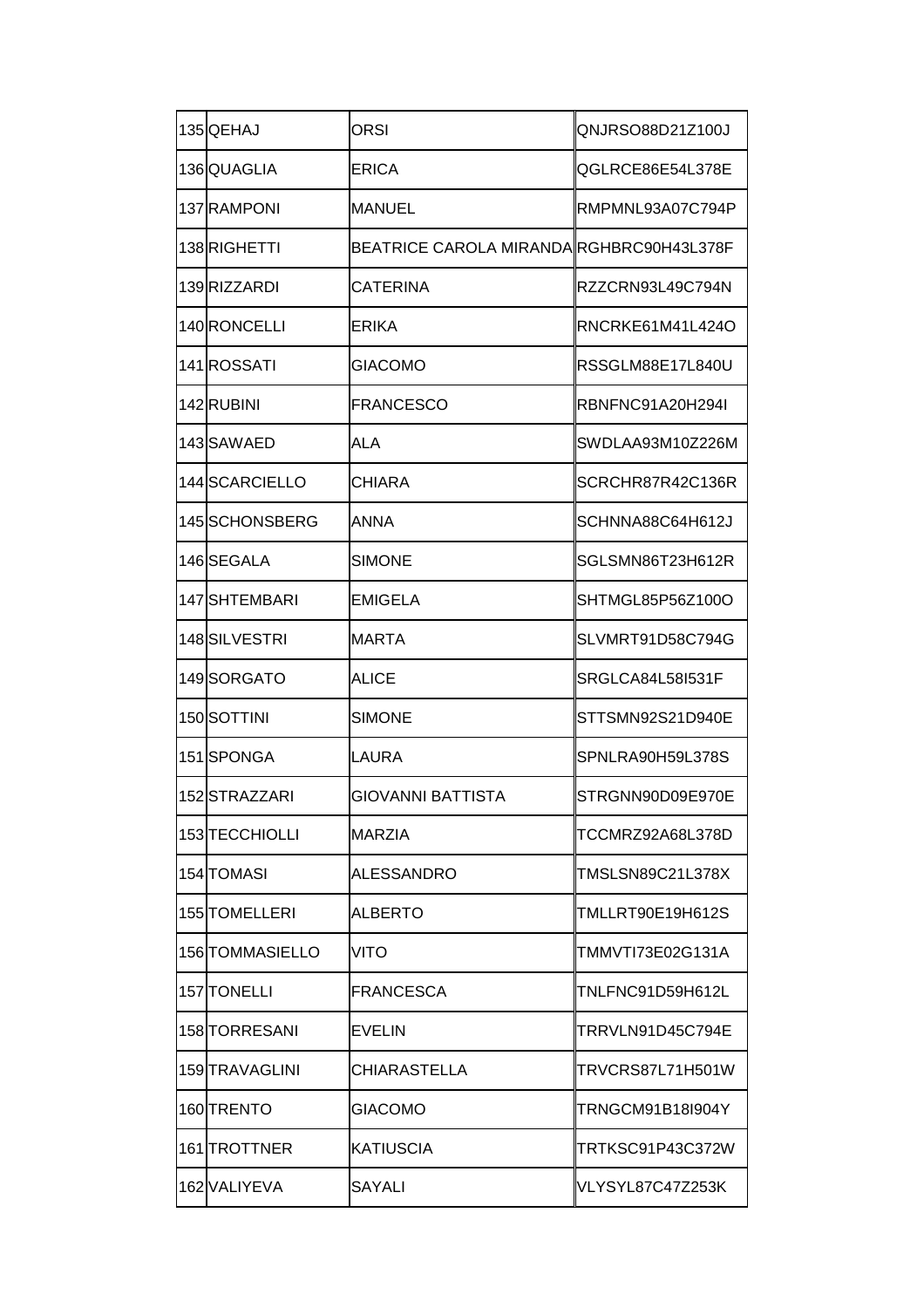| 135 QEHAJ       | ORSI                                     | QNJRSO88D21Z100J |
|-----------------|------------------------------------------|------------------|
| 136 QUAGLIA     | <b>ERICA</b>                             | QGLRCE86E54L378E |
| 137 RAMPONI     | MANUEL                                   | RMPMNL93A07C794P |
| 138RIGHETTI     | BEATRICE CAROLA MIRANDA RGHBRC90H43L378F |                  |
| 139RIZZARDI     | CATERINA                                 | RZZCRN93L49C794N |
| 140 RONCELLI    | ERIKA                                    | RNCRKE61M41L424O |
| 141ROSSATI      | GIACOMO                                  | RSSGLM88E17L840U |
| 142RUBINI       | <b>FRANCESCO</b>                         | RBNFNC91A20H294I |
| 143 SAWAED      | ALA                                      | SWDLAA93M10Z226M |
| 144SCARCIELLO   | CHIARA                                   | SCRCHR87R42C136R |
| 145 SCHONSBERG  | ANNA                                     | SCHNNA88C64H612J |
| 146SEGALA       | <b>SIMONE</b>                            | SGLSMN86T23H612R |
| 147 SHTEMBARI   | EMIGELA                                  | SHTMGL85P56Z100O |
| 148 SILVESTRI   | <b>MARTA</b>                             | SLVMRT91D58C794G |
| 149SORGATO      | ALICE                                    | SRGLCA84L58I531F |
| 150SOTTINI      | SIMONE                                   | STTSMN92S21D940E |
| 151SPONGA       | LAURA                                    | SPNLRA90H59L378S |
| 152STRAZZARI    | <b>GIOVANNI BATTISTA</b>                 | STRGNN90D09E970E |
| 153 TECCHIOLLI  | <b>MARZIA</b>                            | TCCMRZ92A68L378D |
| 154 TOMASI      | ALESSANDRO                               | TMSLSN89C21L378X |
| 155 TOMELLERI   | ALBERTO                                  | TMLLRT90E19H612S |
| 156 TOMMASIELLO | VITO                                     | TMMVTI73E02G131A |
| 157 TONELLI     | FRANCESCA                                | TNLFNC91D59H612L |
| 158 TORRESANI   | EVELIN                                   | TRRVLN91D45C794E |
| 159 TRAVAGLINI  | CHIARASTELLA                             | TRVCRS87L71H501W |
| 160ITRENTO      | GIACOMO                                  | TRNGCM91B18I904Y |
| 161 TROTTNER    | <b>KATIUSCIA</b>                         | TRTKSC91P43C372W |
| 162 VALIYEVA    | SAYALI                                   | VLYSYL87C47Z253K |